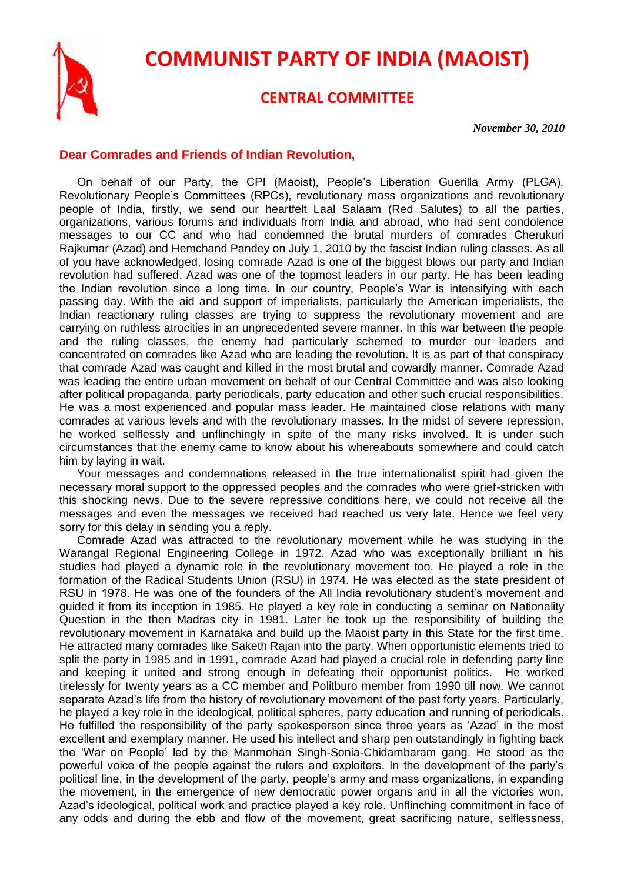

## **COMMUNIST PARTY OF INDIA (MAOIST)**

## **CENTRAL COMMITTEE**

*November 30, 2010*

## **Dear Comrades and Friends of Indian Revolution,**

On behalf of our Party, the CPI (Maoist), People's Liberation Guerilla Army (PLGA), Revolutionary People's Committees (RPCs), revolutionary mass organizations and revolutionary people of India, firstly, we send our heartfelt Laal Salaam (Red Salutes) to all the parties, organizations, various forums and individuals from India and abroad, who had sent condolence messages to our CC and who had condemned the brutal murders of comrades Cherukuri Rajkumar (Azad) and Hemchand Pandey on July 1, 2010 by the fascist Indian ruling classes. As all of you have acknowledged, losing comrade Azad is one of the biggest blows our party and Indian revolution had suffered. Azad was one of the topmost leaders in our party. He has been leading the Indian revolution since a long time. In our country, People's War is intensifying with each passing day. With the aid and support of imperialists, particularly the American imperialists, the Indian reactionary ruling classes are trying to suppress the revolutionary movement and are carrying on ruthless atrocities in an unprecedented severe manner. In this war between the people and the ruling classes, the enemy had particularly schemed to murder our leaders and concentrated on comrades like Azad who are leading the revolution. It is as part of that conspiracy that comrade Azad was caught and killed in the most brutal and cowardly manner. Comrade Azad was leading the entire urban movement on behalf of our Central Committee and was also looking after political propaganda, party periodicals, party education and other such crucial responsibilities. He was a most experienced and popular mass leader. He maintained close relations with many comrades at various levels and with the revolutionary masses. In the midst of severe repression, he worked selflessly and unflinchingly in spite of the many risks involved. It is under such circumstances that the enemy came to know about his whereabouts somewhere and could catch him by laying in wait.

Your messages and condemnations released in the true internationalist spirit had given the necessary moral support to the oppressed peoples and the comrades who were grief-stricken with this shocking news. Due to the severe repressive conditions here, we could not receive all the messages and even the messages we received had reached us very late. Hence we feel very sorry for this delay in sending you a reply.

Comrade Azad was attracted to the revolutionary movement while he was studying in the Warangal Regional Engineering College in 1972. Azad who was exceptionally brilliant in his studies had played a dynamic role in the revolutionary movement too. He played a role in the formation of the Radical Students Union (RSU) in 1974. He was elected as the state president of RSU in 1978. He was one of the founders of the All India revolutionary student's movement and guided it from its inception in 1985. He played a key role in conducting a seminar on Nationality Question in the then Madras city in 1981. Later he took up the responsibility of building the revolutionary movement in Karnataka and build up the Maoist party in this State for the first time. He attracted many comrades like Saketh Rajan into the party. When opportunistic elements tried to split the party in 1985 and in 1991, comrade Azad had played a crucial role in defending party line and keeping it united and strong enough in defeating their opportunist politics. He worked tirelessly for twenty years as a CC member and Politburo member from 1990 till now. We cannot separate Azad's life from the history of revolutionary movement of the past forty years. Particularly, he played a key role in the ideological, political spheres, party education and running of periodicals. He fulfilled the responsibility of the party spokesperson since three years as 'Azad' in the most excellent and exemplary manner. He used his intellect and sharp pen outstandingly in fighting back the 'War on People' led by the Manmohan Singh-Sonia-Chidambaram gang. He stood as the powerful voice of the people against the rulers and exploiters. In the development of the party's political line, in the development of the party, people's army and mass organizations, in expanding the movement, in the emergence of new democratic power organs and in all the victories won, Azad's ideological, political work and practice played a key role. Unflinching commitment in face of any odds and during the ebb and flow of the movement, great sacrificing nature, selflessness,